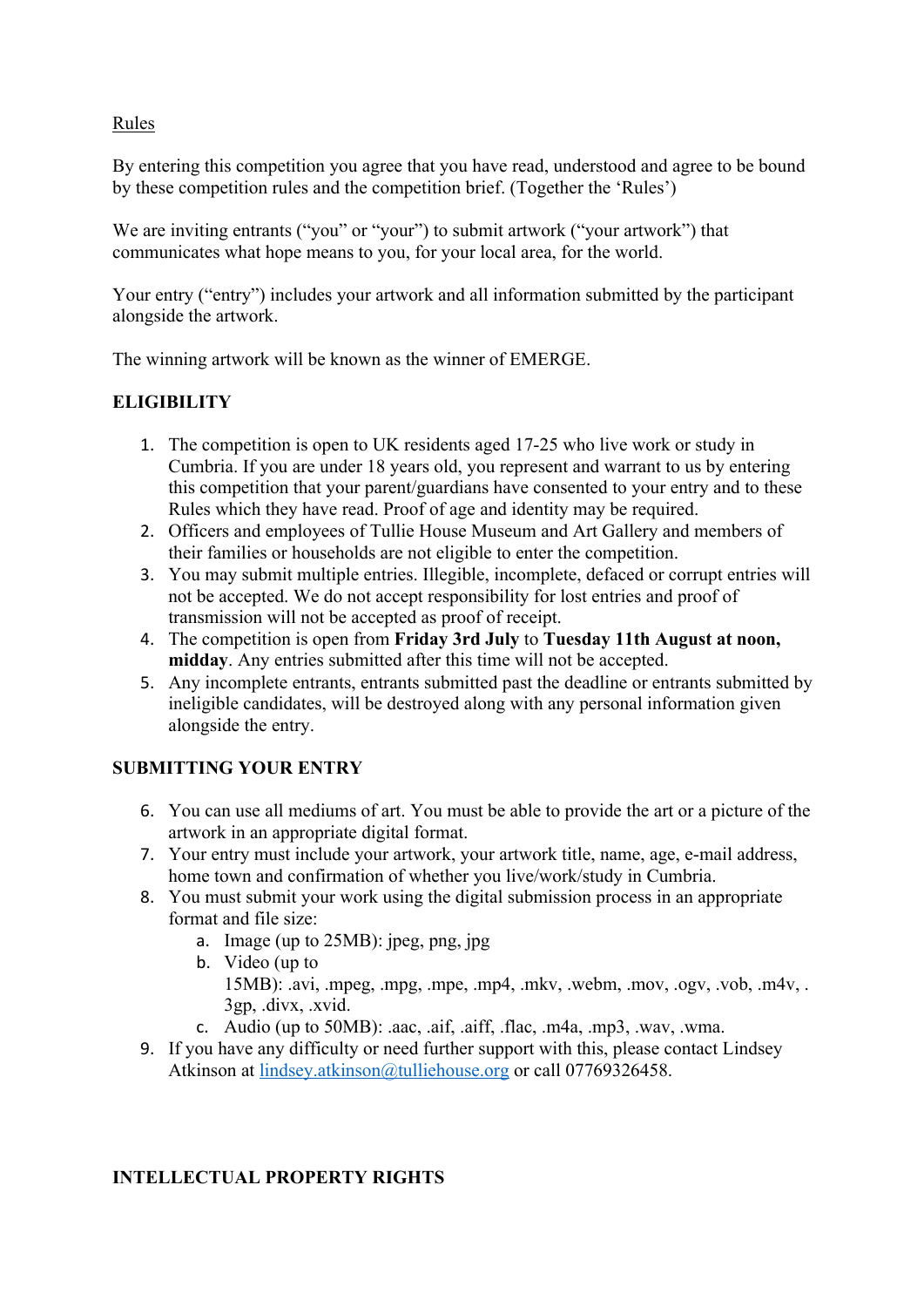Rules

By entering this competition you agree that you have read, understood and agree to be bound by these competition rules and the competition brief. (Together the 'Rules')

We are inviting entrants ("you" or "your") to submit artwork ("your artwork") that communicates what hope means to you, for your local area, for the world.

Your entry ("entry") includes your artwork and all information submitted by the participant alongside the artwork.

The winning artwork will be known as the winner of EMERGE.

### **ELIGIBILITY**

- 1. The competition is open to UK residents aged 17-25 who live work or study in Cumbria. If you are under 18 years old, you represent and warrant to us by entering this competition that your parent/guardians have consented to your entry and to these Rules which they have read. Proof of age and identity may be required.
- 2. Officers and employees of Tullie House Museum and Art Gallery and members of their families or households are not eligible to enter the competition.
- 3. You may submit multiple entries. Illegible, incomplete, defaced or corrupt entries will not be accepted. We do not accept responsibility for lost entries and proof of transmission will not be accepted as proof of receipt.
- 4. The competition is open from **Friday 3rd July** to **Tuesday 11th August at noon, midday**. Any entries submitted after this time will not be accepted.
- 5. Any incomplete entrants, entrants submitted past the deadline or entrants submitted by ineligible candidates, will be destroyed along with any personal information given alongside the entry.

# **SUBMITTING YOUR ENTRY**

- 6. You can use all mediums of art. You must be able to provide the art or a picture of the artwork in an appropriate digital format.
- 7. Your entry must include your artwork, your artwork title, name, age, e-mail address, home town and confirmation of whether you live/work/study in Cumbria.
- 8. You must submit your work using the digital submission process in an appropriate format and file size:
	- a. Image (up to 25MB): jpeg, png, jpg
	- b. Video (up to 15MB): .avi, .mpeg, .mpg, .mpe, .mp4, .mkv, .webm, .mov, .ogv, .vob, .m4v, . 3gp, .divx, .xvid.
	- c. Audio (up to 50MB): .aac, .aif, .aiff, .flac, .m4a, .mp3, .wav, .wma.
- 9. If you have any difficulty or need further support with this, please contact Lindsey Atkinson at lindsey.atkinson@tulliehouse.org or call 07769326458.

# **INTELLECTUAL PROPERTY RIGHTS**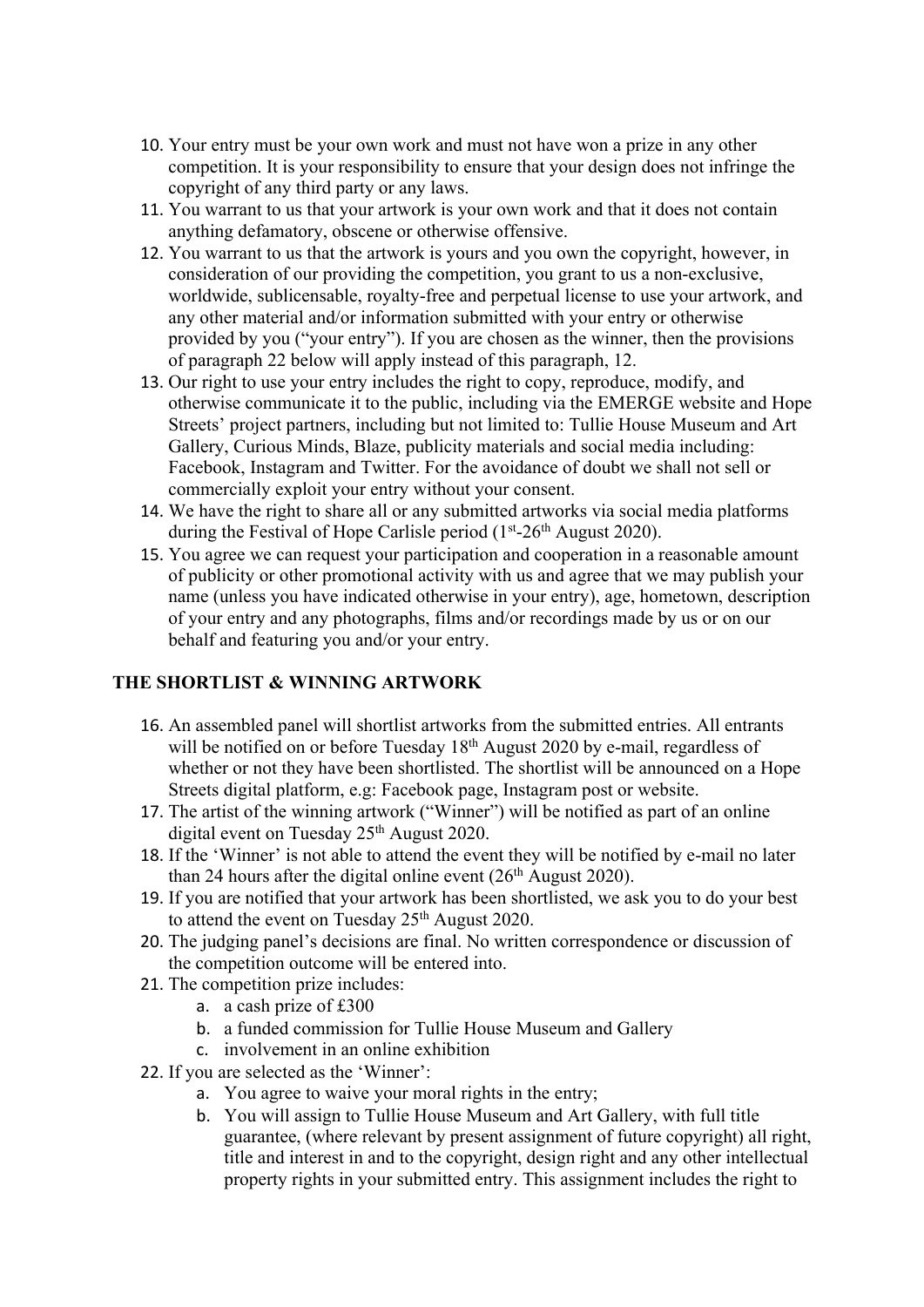- 10. Your entry must be your own work and must not have won a prize in any other competition. It is your responsibility to ensure that your design does not infringe the copyright of any third party or any laws.
- 11. You warrant to us that your artwork is your own work and that it does not contain anything defamatory, obscene or otherwise offensive.
- 12. You warrant to us that the artwork is yours and you own the copyright, however, in consideration of our providing the competition, you grant to us a non-exclusive, worldwide, sublicensable, royalty-free and perpetual license to use your artwork, and any other material and/or information submitted with your entry or otherwise provided by you ("your entry"). If you are chosen as the winner, then the provisions of paragraph 22 below will apply instead of this paragraph, 12.
- 13. Our right to use your entry includes the right to copy, reproduce, modify, and otherwise communicate it to the public, including via the EMERGE website and Hope Streets' project partners, including but not limited to: Tullie House Museum and Art Gallery, Curious Minds, Blaze, publicity materials and social media including: Facebook, Instagram and Twitter. For the avoidance of doubt we shall not sell or commercially exploit your entry without your consent.
- 14. We have the right to share all or any submitted artworks via social media platforms during the Festival of Hope Carlisle period  $(1<sup>st</sup>-26<sup>th</sup>$  August 2020).
- 15. You agree we can request your participation and cooperation in a reasonable amount of publicity or other promotional activity with us and agree that we may publish your name (unless you have indicated otherwise in your entry), age, hometown, description of your entry and any photographs, films and/or recordings made by us or on our behalf and featuring you and/or your entry.

#### **THE SHORTLIST & WINNING ARTWORK**

- 16. An assembled panel will shortlist artworks from the submitted entries. All entrants will be notified on or before Tuesday  $18<sup>th</sup>$  August 2020 by e-mail, regardless of whether or not they have been shortlisted. The shortlist will be announced on a Hope Streets digital platform, e.g: Facebook page, Instagram post or website.
- 17. The artist of the winning artwork ("Winner") will be notified as part of an online digital event on Tuesday  $25<sup>th</sup>$  August 2020.
- 18. If the 'Winner' is not able to attend the event they will be notified by e-mail no later than 24 hours after the digital online event  $(26<sup>th</sup>$  August 2020).
- 19. If you are notified that your artwork has been shortlisted, we ask you to do your best to attend the event on Tuesday  $25<sup>th</sup>$  August 2020.
- 20. The judging panel's decisions are final. No written correspondence or discussion of the competition outcome will be entered into.
- 21. The competition prize includes:
	- a. a cash prize of £300
	- b. a funded commission for Tullie House Museum and Gallery
	- c. involvement in an online exhibition
- 22. If you are selected as the 'Winner':
	- a. You agree to waive your moral rights in the entry;
	- b. You will assign to Tullie House Museum and Art Gallery, with full title guarantee, (where relevant by present assignment of future copyright) all right, title and interest in and to the copyright, design right and any other intellectual property rights in your submitted entry. This assignment includes the right to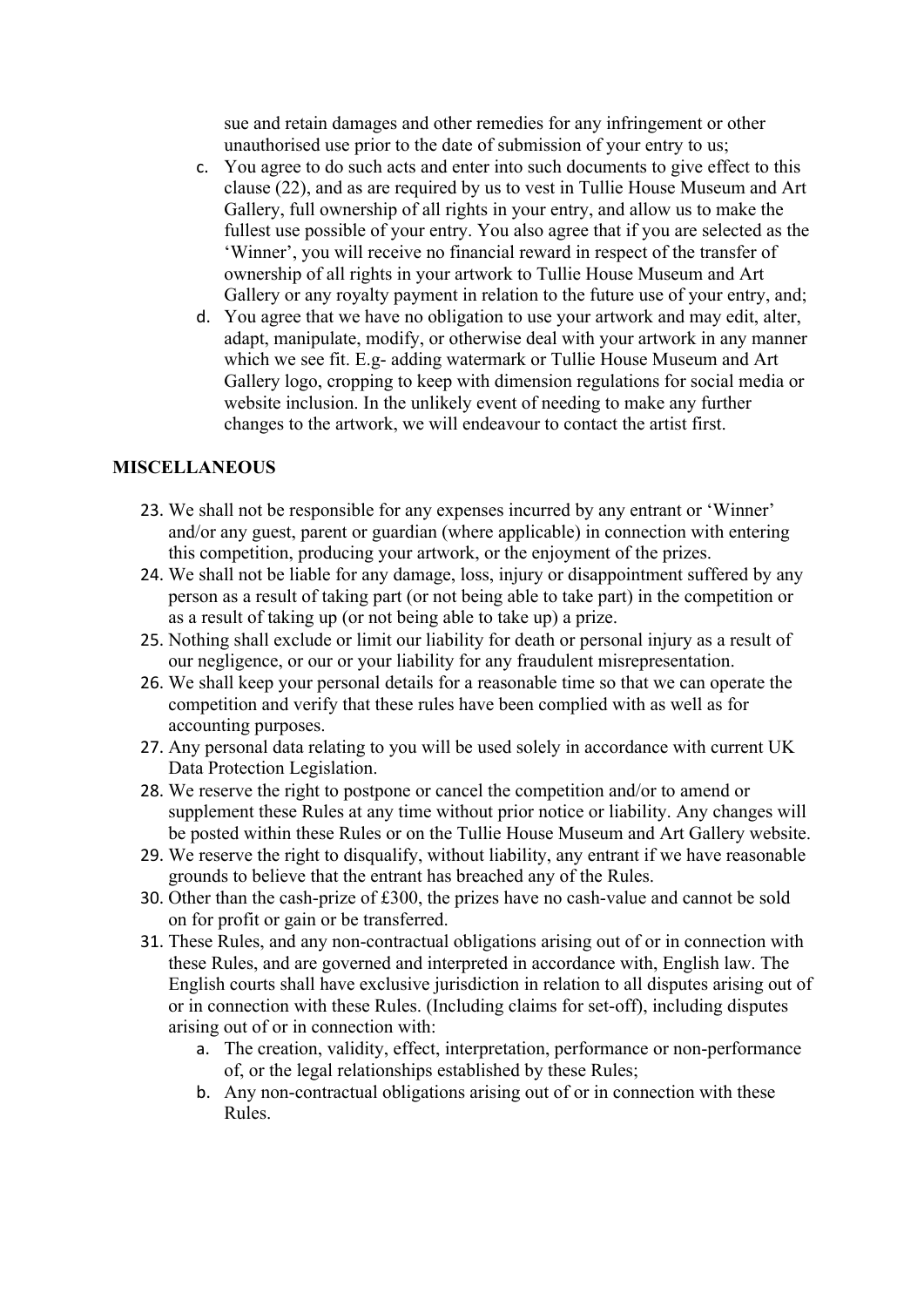sue and retain damages and other remedies for any infringement or other unauthorised use prior to the date of submission of your entry to us;

- c. You agree to do such acts and enter into such documents to give effect to this clause (22), and as are required by us to vest in Tullie House Museum and Art Gallery, full ownership of all rights in your entry, and allow us to make the fullest use possible of your entry. You also agree that if you are selected as the 'Winner', you will receive no financial reward in respect of the transfer of ownership of all rights in your artwork to Tullie House Museum and Art Gallery or any royalty payment in relation to the future use of your entry, and;
- d. You agree that we have no obligation to use your artwork and may edit, alter, adapt, manipulate, modify, or otherwise deal with your artwork in any manner which we see fit. E.g- adding watermark or Tullie House Museum and Art Gallery logo, cropping to keep with dimension regulations for social media or website inclusion. In the unlikely event of needing to make any further changes to the artwork, we will endeavour to contact the artist first.

#### **MISCELLANEOUS**

- 23. We shall not be responsible for any expenses incurred by any entrant or 'Winner' and/or any guest, parent or guardian (where applicable) in connection with entering this competition, producing your artwork, or the enjoyment of the prizes.
- 24. We shall not be liable for any damage, loss, injury or disappointment suffered by any person as a result of taking part (or not being able to take part) in the competition or as a result of taking up (or not being able to take up) a prize.
- 25. Nothing shall exclude or limit our liability for death or personal injury as a result of our negligence, or our or your liability for any fraudulent misrepresentation.
- 26. We shall keep your personal details for a reasonable time so that we can operate the competition and verify that these rules have been complied with as well as for accounting purposes.
- 27. Any personal data relating to you will be used solely in accordance with current UK Data Protection Legislation.
- 28. We reserve the right to postpone or cancel the competition and/or to amend or supplement these Rules at any time without prior notice or liability. Any changes will be posted within these Rules or on the Tullie House Museum and Art Gallery website.
- 29. We reserve the right to disqualify, without liability, any entrant if we have reasonable grounds to believe that the entrant has breached any of the Rules.
- 30. Other than the cash-prize of £300, the prizes have no cash-value and cannot be sold on for profit or gain or be transferred.
- 31. These Rules, and any non-contractual obligations arising out of or in connection with these Rules, and are governed and interpreted in accordance with, English law. The English courts shall have exclusive jurisdiction in relation to all disputes arising out of or in connection with these Rules. (Including claims for set-off), including disputes arising out of or in connection with:
	- a. The creation, validity, effect, interpretation, performance or non-performance of, or the legal relationships established by these Rules;
	- b. Any non-contractual obligations arising out of or in connection with these Rules.